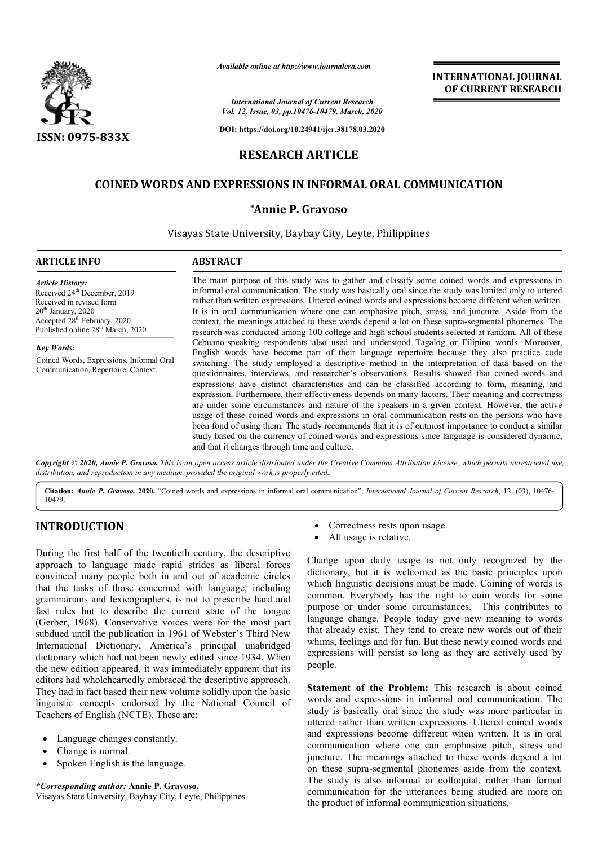

*Available online at http://www.journalcra.com*

# **RESEARCH ARTICLE**

# **COINED WORDS AND EXPRESSIONS IN INFORMAL ORAL COMMUNICATION**

#### **\*Annie P. Gravoso**

|                                                                                                                                                                                                                                                                                                                                                                                                                                                                                                                                                                                                                                                                                                                  |                                               | <b>INTERNATIONAL JOURNAL</b><br>OF CURRENT RESEARCH                                                                                                                                                                                                                                                                                                                                                                                                                                                                                                                                                                                                                                                                                                                                                                                                                                                                                                                                                                       |
|------------------------------------------------------------------------------------------------------------------------------------------------------------------------------------------------------------------------------------------------------------------------------------------------------------------------------------------------------------------------------------------------------------------------------------------------------------------------------------------------------------------------------------------------------------------------------------------------------------------------------------------------------------------------------------------------------------------|-----------------------------------------------|---------------------------------------------------------------------------------------------------------------------------------------------------------------------------------------------------------------------------------------------------------------------------------------------------------------------------------------------------------------------------------------------------------------------------------------------------------------------------------------------------------------------------------------------------------------------------------------------------------------------------------------------------------------------------------------------------------------------------------------------------------------------------------------------------------------------------------------------------------------------------------------------------------------------------------------------------------------------------------------------------------------------------|
|                                                                                                                                                                                                                                                                                                                                                                                                                                                                                                                                                                                                                                                                                                                  |                                               | <b>International Journal of Current Research</b><br>Vol. 12, Issue, 03, pp.10476-10479, March, 2020                                                                                                                                                                                                                                                                                                                                                                                                                                                                                                                                                                                                                                                                                                                                                                                                                                                                                                                       |
| <b>ISSN: 0975-833X</b>                                                                                                                                                                                                                                                                                                                                                                                                                                                                                                                                                                                                                                                                                           |                                               | DOI: https://doi.org/10.24941/ijcr.38178.03.2020                                                                                                                                                                                                                                                                                                                                                                                                                                                                                                                                                                                                                                                                                                                                                                                                                                                                                                                                                                          |
|                                                                                                                                                                                                                                                                                                                                                                                                                                                                                                                                                                                                                                                                                                                  | <b>RESEARCH ARTICLE</b>                       |                                                                                                                                                                                                                                                                                                                                                                                                                                                                                                                                                                                                                                                                                                                                                                                                                                                                                                                                                                                                                           |
|                                                                                                                                                                                                                                                                                                                                                                                                                                                                                                                                                                                                                                                                                                                  |                                               |                                                                                                                                                                                                                                                                                                                                                                                                                                                                                                                                                                                                                                                                                                                                                                                                                                                                                                                                                                                                                           |
|                                                                                                                                                                                                                                                                                                                                                                                                                                                                                                                                                                                                                                                                                                                  |                                               | <b>COINED WORDS AND EXPRESSIONS IN INFORMAL ORAL COMMUNICATION</b>                                                                                                                                                                                                                                                                                                                                                                                                                                                                                                                                                                                                                                                                                                                                                                                                                                                                                                                                                        |
|                                                                                                                                                                                                                                                                                                                                                                                                                                                                                                                                                                                                                                                                                                                  | *Annie P. Gravoso                             |                                                                                                                                                                                                                                                                                                                                                                                                                                                                                                                                                                                                                                                                                                                                                                                                                                                                                                                                                                                                                           |
|                                                                                                                                                                                                                                                                                                                                                                                                                                                                                                                                                                                                                                                                                                                  |                                               | Visayas State University, Baybay City, Leyte, Philippines                                                                                                                                                                                                                                                                                                                                                                                                                                                                                                                                                                                                                                                                                                                                                                                                                                                                                                                                                                 |
| <b>ARTICLE INFO</b>                                                                                                                                                                                                                                                                                                                                                                                                                                                                                                                                                                                                                                                                                              | <b>ABSTRACT</b>                               |                                                                                                                                                                                                                                                                                                                                                                                                                                                                                                                                                                                                                                                                                                                                                                                                                                                                                                                                                                                                                           |
| <b>Article History:</b><br>Received 24 <sup>th</sup> December, 2019<br>Received in revised form<br>20 <sup>th</sup> January, 2020<br>Accepted 28 <sup>th</sup> February, 2020<br>Published online 28 <sup>th</sup> March, 2020                                                                                                                                                                                                                                                                                                                                                                                                                                                                                   |                                               | The main purpose of this study was to gather and classify some coined words and expressions in<br>informal oral communication. The study was basically oral since the study was limited only to uttered<br>rather than written expressions. Uttered coined words and expressions become different when written.<br>It is in oral communication where one can emphasize pitch, stress, and juncture. Aside from the<br>context, the meanings attached to these words depend a lot on these supra-segmental phonemes. The<br>research was conducted among 100 college and high school students selected at random. All of these                                                                                                                                                                                                                                                                                                                                                                                             |
| <b>Key Words:</b><br>Coined Words, Expressions, Informal Oral<br>Communication, Repertoire, Context.                                                                                                                                                                                                                                                                                                                                                                                                                                                                                                                                                                                                             | and that it changes through time and culture. | Cebuano-speaking respondents also used and understood Tagalog or Filipino words. Moreover,<br>English words have become part of their language repertoire because they also practice code<br>switching. The study employed a descriptive method in the interpretation of data based on the<br>questionnaires, interviews, and researcher's observations. Results showed that coined words and<br>expressions have distinct characteristics and can be classified according to form, meaning, and<br>expression. Furthermore, their effectiveness depends on many factors. Their meaning and correctness<br>are under some circumstances and nature of the speakers in a given context. However, the active<br>usage of these coined words and expressions in oral communication rests on the persons who have<br>been fond of using them. The study recommends that it is of outmost importance to conduct a similar<br>study based on the currency of coined words and expressions since language is considered dynamic, |
| distribution, and reproduction in any medium, provided the original work is properly cited.                                                                                                                                                                                                                                                                                                                                                                                                                                                                                                                                                                                                                      |                                               | Copyright © 2020, Annie P. Gravoso. This is an open access article distributed under the Creative Commons Attribution License, which permits unrestricted use,                                                                                                                                                                                                                                                                                                                                                                                                                                                                                                                                                                                                                                                                                                                                                                                                                                                            |
| 10479.                                                                                                                                                                                                                                                                                                                                                                                                                                                                                                                                                                                                                                                                                                           |                                               | Citation: Annie P. Gravoso. 2020. "Coined words and expressions in informal oral communication", International Journal of Current Research, 12, (03), 10476-                                                                                                                                                                                                                                                                                                                                                                                                                                                                                                                                                                                                                                                                                                                                                                                                                                                              |
| <b>INTRODUCTION</b>                                                                                                                                                                                                                                                                                                                                                                                                                                                                                                                                                                                                                                                                                              |                                               | Correctness rests upon usage.<br>٠<br>All usage is relative.                                                                                                                                                                                                                                                                                                                                                                                                                                                                                                                                                                                                                                                                                                                                                                                                                                                                                                                                                              |
| During the first half of the twentieth century, the descriptive<br>approach to language made rapid strides as liberal forces<br>convinced many people both in and out of academic circles<br>that the tasks of those concerned with language, including<br>grammarians and lexicographers, is not to prescribe hard and<br>fast rules but to describe the current state of the tongue<br>(Gerber, 1968). Conservative voices were for the most part<br>subdued until the publication in 1961 of Webster's Third New<br>International Dictionary, America's principal unabridged<br>dictionary which had not been newly edited since 1934. When<br>the new edition appeared, it was immediately apparent that its |                                               | Change upon daily usage is not only recognized by the<br>dictionary, but it is welcomed as the basic principles upon<br>which linguistic decisions must be made. Coining of words is<br>common. Everybody has the right to coin words for some<br>purpose or under some circumstances. This contributes to<br>language change. People today give new meaning to words<br>that already exist. They tend to create new words out of their<br>whims, feelings and for fun. But these newly coined words and<br>expressions will persist so long as they are actively used by<br>people.                                                                                                                                                                                                                                                                                                                                                                                                                                      |
| editors had wholeheartedly embraced the descriptive approach.<br>They had in fact based their new volume solidly upon the basic<br>linguistic concepts endorsed by the National Council of<br>Teachers of English (NCTE). These are:<br>Language changes constantly.<br>Change is normal.<br>Spoken English is the language.<br>*Corresponding author: Annie P. Gravoso,                                                                                                                                                                                                                                                                                                                                         |                                               | Statement of the Problem: This research is about coined<br>words and expressions in informal oral communication. The<br>study is basically oral since the study was more particular in<br>uttered rather than written expressions. Uttered coined words<br>and expressions become different when written. It is in oral<br>communication where one can emphasize pitch, stress and<br>juncture. The meanings attached to these words depend a lot<br>on these supra-segmental phonemes aside from the context.<br>The study is also informal or colloquial, rather than formal<br>communication for the utterances being studied are more on                                                                                                                                                                                                                                                                                                                                                                              |
| Visayas State University, Baybay City, Leyte, Philippines.                                                                                                                                                                                                                                                                                                                                                                                                                                                                                                                                                                                                                                                       |                                               | the product of informal communication situations.                                                                                                                                                                                                                                                                                                                                                                                                                                                                                                                                                                                                                                                                                                                                                                                                                                                                                                                                                                         |

# **INTRODUCTION**

- Language changes constantly.
- Change is normal.
- Spoken English is the language.

- Correctness rests upon usage.
- All usage is relative.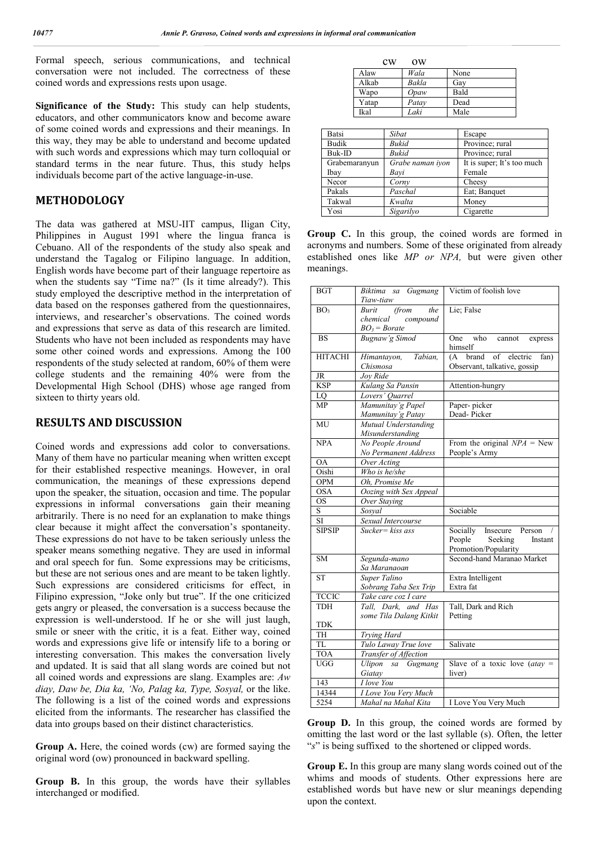Formal speech, serious communications, and technical conversation were not included. The correctness of these coined words and expressions rests upon usage.

**Significance of the Study:** This study can help students, educators, and other communicators know and become aware of some coined words and expressions and their meanings. In this way, they may be able to understand and become updated with such words and expressions which may turn colloquial or standard terms in the near future. Thus, this study helps individuals become part of the active language-in-use.

### **METHODOLOGY**

The data was gathered at MSU-IIT campus, Iligan City, Philippines in August 1991 where the lingua franca is Cebuano. All of the respondents of the study also speak and understand the Tagalog or Filipino language. In addition, English words have become part of their language repertoire as when the students say "Time na?" (Is it time already?). This study employed the descriptive method in the interpretation of data based on the responses gathered from the questionnaires, interviews, and researcher's observations. The coined words and expressions that serve as data of this research are limited. Students who have not been included as respondents may have some other coined words and expressions. Among the 100 respondents of the study selected at random, 60% of them were college students and the remaining 40% were from the Developmental High School (DHS) whose age ranged from sixteen to thirty years old.

### **RESULTS AND DISCUSSION**

Coined words and expressions add color to conversations. Many of them have no particular meaning when written except for their established respective meanings. However, in oral communication, the meanings of these expressions depend upon the speaker, the situation, occasion and time. The popular expressions in informal conversations gain their meaning arbitrarily. There is no need for an explanation to make things clear because it might affect the conversation's spontaneity. These expressions do not have to be taken seriously unless the speaker means something negative. They are used in informal and oral speech for fun. Some expressions may be criticisms, but these are not serious ones and are meant to be taken lightly. Such expressions are considered criticisms for effect, in Filipino expression, "Joke only but true". If the one criticized gets angry or pleased, the conversation is a success because the expression is well-understood. If he or she will just laugh, smile or sneer with the critic, it is a feat. Either way, coined words and expressions give life or intensify life to a boring or interesting conversation. This makes the conversation lively and updated. It is said that all slang words are coined but not all coined words and expressions are slang. Examples are: *Aw diay, Daw be, Dia ka, 'No, Palag ka, Type, Sosyal,* or the like. The following is a list of the coined words and expressions elicited from the informants. The researcher has classified the data into groups based on their distinct characteristics.

**Group A.** Here, the coined words (cw) are formed saying the original word (ow) pronounced in backward spelling.

**Group B.** In this group, the words have their syllables interchanged or modified.

| cw    | $\alpha$ |      |
|-------|----------|------|
| Alaw  | Wala     | None |
| Alkab | Bakla    | Gay  |
| Wapo  | Opaw     | Bald |
| Yatap | Patay    | Dead |
| Ikal  | Laki     | Male |

| Batsi         | Sibat            | Escape                     |
|---------------|------------------|----------------------------|
| Budik         | <b>Bukid</b>     | Province; rural            |
| Buk-ID        | <b>Bukid</b>     | Province; rural            |
| Grabemaranyun | Grabe naman iyon | It is super; It's too much |
| Ibay          | Bavi             | Female                     |
| Necor         | Corny            | Cheesy                     |
| Pakals        | Paschal          | Eat; Banquet               |
| Takwal        | Kwalta           | Money                      |
| Yosi          | Sigarilyo        | Cigarette                  |

**Group C.** In this group, the coined words are formed in acronyms and numbers. Some of these originated from already established ones like *MP or NPA,* but were given other meanings.

| <b>BGT</b>             | Biktima sa Gugmang                         | Victim of foolish love                             |
|------------------------|--------------------------------------------|----------------------------------------------------|
|                        | Tiaw-tiaw                                  |                                                    |
| BO <sub>3</sub>        | (from<br>the<br>Burit                      | Lie; False                                         |
|                        | chemical<br>compound                       |                                                    |
|                        | $BO_3 = Borate$                            |                                                    |
| <b>BS</b>              | Bugnaw'g Simod                             | One who cannot express                             |
|                        |                                            | himself                                            |
| <b>HITACHI</b>         | Himantayon,<br>Tabian,                     | (A brand of electric<br>fan)                       |
|                        | Chismosa                                   | Observant, talkative, gossip                       |
| <b>JR</b>              | Joy Ride                                   |                                                    |
| <b>KSP</b>             | Kulang Sa Pansin                           | Attention-hungry                                   |
| LQ                     | Lovers' Quarrel                            |                                                    |
| MP                     | Mamunitay'g Papel                          | Paper-picker                                       |
|                        | Mamunitay'g Patay                          | Dead-Picker                                        |
| $\overline{MU}$        | Mutual Understanding                       |                                                    |
|                        | Misunderstanding                           |                                                    |
| <b>NPA</b>             | No People Around                           | From the original $NPA =$ New                      |
|                        | No Permanent Address                       | People's Army                                      |
| $\overline{OA}$        | Over Acting                                |                                                    |
| Oishi                  | Who is he/she                              |                                                    |
| OPM                    | Oh, Promise Me                             |                                                    |
| <b>OSA</b>             | Oozing with Sex Appeal                     |                                                    |
|                        |                                            |                                                    |
| <b>OS</b>              | Over Staying                               |                                                    |
| S.                     | Sosyal                                     | Sociable                                           |
| SI.                    | Sexual Intercourse                         |                                                    |
| <b>SIPSIP</b>          | $Sucker = kiss ass$                        | Socially Insecure<br>Person<br>$\sqrt{2}$          |
|                        |                                            | People<br>Seeking<br>Instant                       |
|                        |                                            |                                                    |
| <b>SM</b>              | Segunda-mano                               | Promotion/Popularity<br>Second-hand Maranao Market |
|                        | Sa Maranaoan                               |                                                    |
| $\overline{\text{ST}}$ | <b>Super Talino</b>                        | Extra Intelligent                                  |
|                        | Sobrang Taba Sex Trip                      | Extra fat                                          |
| <b>TCCIC</b>           | Take care coz I care                       |                                                    |
| <b>TDH</b>             | Tall, Dark, and Has                        | Tall, Dark and Rich                                |
|                        | some Tila Dalang Kitkit                    | Petting                                            |
| <b>TDK</b>             |                                            |                                                    |
| <b>TH</b>              | Trying Hard                                |                                                    |
| $\overline{\text{TL}}$ | Tulo Laway True love                       | Salivate                                           |
| <b>TOA</b>             |                                            |                                                    |
| <b>UGG</b>             | Transfer of Affection<br>Ulipon sa Gugmang | Slave of a toxic love $(atay =$                    |
|                        | Giatav                                     | liver)                                             |
| 143                    | I love You                                 |                                                    |
| 14344                  | <b>I</b> Love You Very Much                |                                                    |

**Group D.** In this group, the coined words are formed by omitting the last word or the last syllable (s). Often, the letter "*s*" is being suffixed to the shortened or clipped words.

**Group E.** In this group are many slang words coined out of the whims and moods of students. Other expressions here are established words but have new or slur meanings depending upon the context.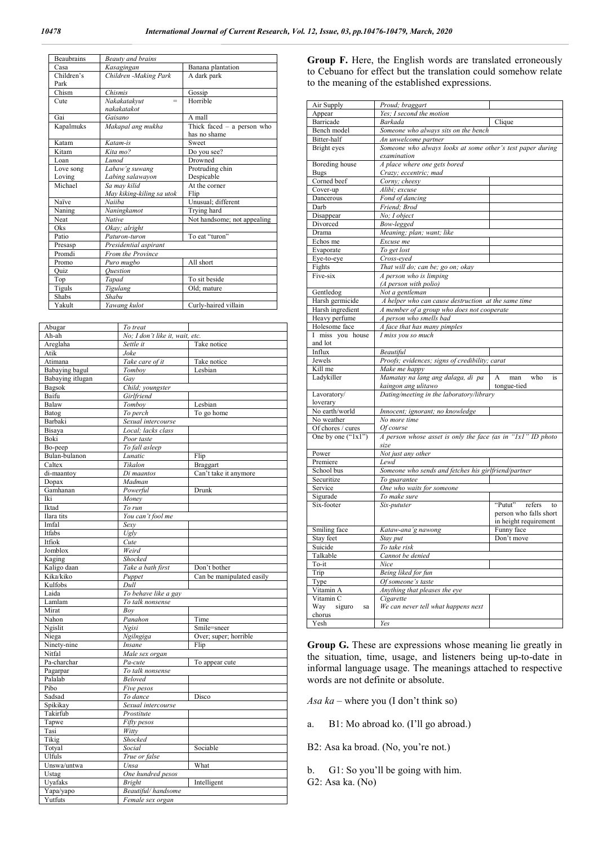| <b>Beaubrains</b> | <b>Beauty and brains</b>  |                              |  |
|-------------------|---------------------------|------------------------------|--|
| Casa              | Kasagingan                | Banana plantation            |  |
| Children's        | Children -Making Park     | A dark park                  |  |
| Park              |                           |                              |  |
| Chism             | Chismis                   | Gossip                       |  |
| Cute              | Nakakatakvut<br>$=$       | Horrible                     |  |
|                   | nakakatakot               |                              |  |
| Gai               | Gaisano                   | A mall                       |  |
| Kapalmuks         | Makapal ang mukha         | Thick faced $-$ a person who |  |
|                   |                           | has no shame                 |  |
| Katam             | Katam-is                  | Sweet                        |  |
| Kitam             | Kita mo?                  | Do you see?                  |  |
| Loan              | Lunod                     | Drowned                      |  |
| Love song         | Labaw'g suwang            | Protruding chin              |  |
| Loving            | Labing salawayon          | Despicable                   |  |
| Michael           | Sa may kilid              | At the corner                |  |
|                   | May kiking-kiling sa utok | Flip                         |  |
| Naïve             | Naiiba                    | Unusual; different           |  |
| Naning            | Naningkamot               | Trying hard                  |  |
| Neat              | <b>Native</b>             | Not handsome; not appealing  |  |
| <b>Oks</b>        | Okay; alright             |                              |  |
| Patio             | Paturon-turon             | To eat "turon"               |  |
| Presasp           | Presidential aspirant     |                              |  |
| Promdi            | From the Province         |                              |  |
| Promo             | Puro mugbo                | All short                    |  |
| Quiz              | Ouestion                  |                              |  |
| Top               | Tapad                     | To sit beside                |  |
| Tiguls            | Tigulang                  | Old; mature                  |  |
| Shabs             | Shabu                     |                              |  |
| Yakult            | Yawang kulot              | Curly-haired villain         |  |

| Abugar                | To treat                               |                           |
|-----------------------|----------------------------------------|---------------------------|
| Ah-ah                 | No; I don't like it, wait, etc.        |                           |
| Areglaha              | Settle it                              | Take notice               |
| Atik                  | Joke                                   |                           |
| Atimana               | Take care of it                        | Take notice               |
| Babaying bagul        | Tomboy                                 | Lesbian                   |
| Babaying itlugan      | Gay                                    |                           |
| Bagsok                | Child; youngster                       |                           |
| Baifu                 | Girlfriend                             |                           |
| Balaw                 | Tomboy                                 | Lesbian                   |
|                       | To perch                               | To go home                |
| Batog                 |                                        |                           |
| Barbaki               | Sexual intercourse                     |                           |
| Bisaya<br>Boki        | Local; lacks class                     |                           |
|                       | Poor taste                             |                           |
| Bo-peep               | To fall asleep                         |                           |
| Bulan-bulanon         | Lunatic                                | Flip                      |
| Caltex                | Tikalon                                | Braggart                  |
| di-maantoy            | Di maantos                             | Can't take it anymore     |
| Dopax                 | Madman                                 |                           |
| Gamhanan              | Powerful                               | Drunk                     |
| Iki                   | Money                                  |                           |
| Iktad                 | To run                                 |                           |
| Ilara tits            | You can't fool me                      |                           |
| Imfal                 | Sexy                                   |                           |
| Itfabs                | Ugly                                   |                           |
| Itfiok                | Cute                                   |                           |
| Jomblox               | Weird                                  |                           |
| Kaging                | Shocked                                |                           |
| Kaligo daan           | Take a bath first                      | Don't bother              |
|                       |                                        |                           |
| Kika/kiko             |                                        | Can be manipulated easily |
| Kulfobs               | Puppet<br>Dull                         |                           |
| Laida                 | To behave like a gay                   |                           |
| Lamlam                |                                        |                           |
| Mirat                 | To talk nonsense<br>Boy                |                           |
| Nahon                 |                                        | Time                      |
|                       | <b>Panahon</b><br>Ngisi                | Smile=sneer               |
| Ngislit<br>Niega      | Ngilngiga                              | Over; super; horrible     |
|                       | Insane                                 | Flip                      |
| Ninety-nine<br>Nitfal |                                        |                           |
| Pa-charchar           | Male sex organ                         |                           |
|                       | Pa-cute                                | To appear cute            |
| Pagarpar              | To talk nonsense                       |                           |
| Palalab<br>Pibo       | Beloved                                |                           |
|                       | Five pesos                             |                           |
| Sadsad                | To dance                               | Disco                     |
| Spikikay              | Sexual intercourse                     |                           |
| Takirfub              | Prostitute                             |                           |
| Tapwe                 | Fifty pesos                            |                           |
| Tasi                  | Witty                                  |                           |
| Tikig                 | Shocked                                |                           |
| Totyal                | Social                                 | Sociable                  |
| Ulfuls                | True or false                          |                           |
| Unswa/untwa           | Unsa                                   | What                      |
| Ustag                 | One hundred pesos                      |                           |
| Uyafaks               | <b>Bright</b>                          | Intelligent               |
| Yapa/yapo<br>Yutfuts  | Beautiful/handsome<br>Female sex organ |                           |

**Group F.** Here, the English words are translated erroneously to Cebuano for effect but the translation could somehow relate to the meaning of the established expressions.

| Air Supply                   |                                                             |                        |
|------------------------------|-------------------------------------------------------------|------------------------|
|                              | Proud; braggart<br>Yes; I second the motion                 |                        |
| Appear<br>Barricade          | Barkada                                                     |                        |
|                              |                                                             | Clique                 |
| Bench model                  | Someone who always sits on the bench                        |                        |
| Bitter-half                  | An unwelcome partner                                        |                        |
| Bright eyes                  | Someone who always looks at some other's test paper during  |                        |
|                              | examination                                                 |                        |
| Boreding house               | A place where one gets bored                                |                        |
| <b>Bugs</b>                  | Crazy; eccentric; mad                                       |                        |
| Corned beef                  | Corny; cheesy                                               |                        |
| Cover-up                     | Alibi; excuse                                               |                        |
| Dancerous                    | Fond of dancing                                             |                        |
| Darb                         | Friend; Brod                                                |                        |
| Disappear                    | No; I object                                                |                        |
| Divorced                     | Bow-legged                                                  |                        |
| Drama                        | Meaning; plan; want; like                                   |                        |
| Echos me                     | Excuse me                                                   |                        |
| Evaporate                    | To get lost                                                 |                        |
| Eye-to-eye                   | Cross-eyed                                                  |                        |
| Fights                       | That will do; can be; go on; okay                           |                        |
| Five-six                     | A person who is limping                                     |                        |
|                              | (A person with polio)                                       |                        |
| Gentledog                    | Not a gentleman                                             |                        |
| Harsh germicide              | A helper who can cause destruction at the same time         |                        |
| Harsh ingredient             | A member of a group who does not cooperate                  |                        |
| Heavy perfume                | A person who smells bad                                     |                        |
| Holesome face                | A face that has many pimples                                |                        |
| I miss you house             | I miss you so much                                          |                        |
| and lot                      |                                                             |                        |
| Influx                       | Beautiful                                                   |                        |
| Jewels                       | Proofs; evidences; signs of credibility; carat              |                        |
| Kill me                      | Make me happy                                               |                        |
|                              |                                                             |                        |
|                              |                                                             | A<br>who<br>is         |
| Ladykiller                   | Mamatay na lang ang dalaga, di pa                           | man<br>tongue-tied     |
|                              | kaingon ang ulitawo                                         |                        |
| Lavoratory/                  | Dating/meeting in the laboratory/library                    |                        |
| loverary                     |                                                             |                        |
| No earth/world<br>No weather | Innocent; ignorant; no knowledge<br>No more time            |                        |
|                              |                                                             |                        |
| Of chores / cures            | Of course                                                   |                        |
| One by one $("1x1")$         | A person whose asset is only the face (as in "1x1" ID photo |                        |
|                              | size                                                        |                        |
| Power                        | Not just any other                                          |                        |
| Premiere                     | Lewd                                                        |                        |
| School bus                   | Someone who sends and fetches his girlfriend/partner        |                        |
| Securitize                   | To guarantee                                                |                        |
| Service                      | One who waits for someone                                   |                        |
| Sigurade                     | To make sure                                                |                        |
| Six-footer                   | Six-pututer                                                 | "Putut" refers<br>to   |
|                              |                                                             | person who falls short |
|                              |                                                             | in height requirement  |
| Smiling face                 | Kataw-ana'g nawong                                          | Funny face             |
| Stay feet                    | Stay put                                                    | Don't move             |
| Suicide                      | To take risk                                                |                        |
| Talkable                     | Cannot be denied                                            |                        |
| To-it                        | Nice                                                        |                        |
| Trip                         | Being liked for fun                                         |                        |
| Type                         | Of someone's taste                                          |                        |
| Vitamin A                    | Anything that pleases the eye                               |                        |
| Vitamin C                    | Cigarette                                                   |                        |
| Way<br>siguro<br>sa          | We can never tell what happens next                         |                        |
| chorus<br>Yesh               | Yes                                                         |                        |

**Group G.** These are expressions whose meaning lie greatly in the situation, time, usage, and listeners being up-to-date in informal language usage. The meanings attached to respective words are not definite or absolute.

*Asa ka* – where you (I don't think so)

- a. B1: Mo abroad ko. (I'll go abroad.)
- B2: Asa ka broad. (No, you're not.)
- b. G1: So you'll be going with him.
- G2: Asa ka. (No)